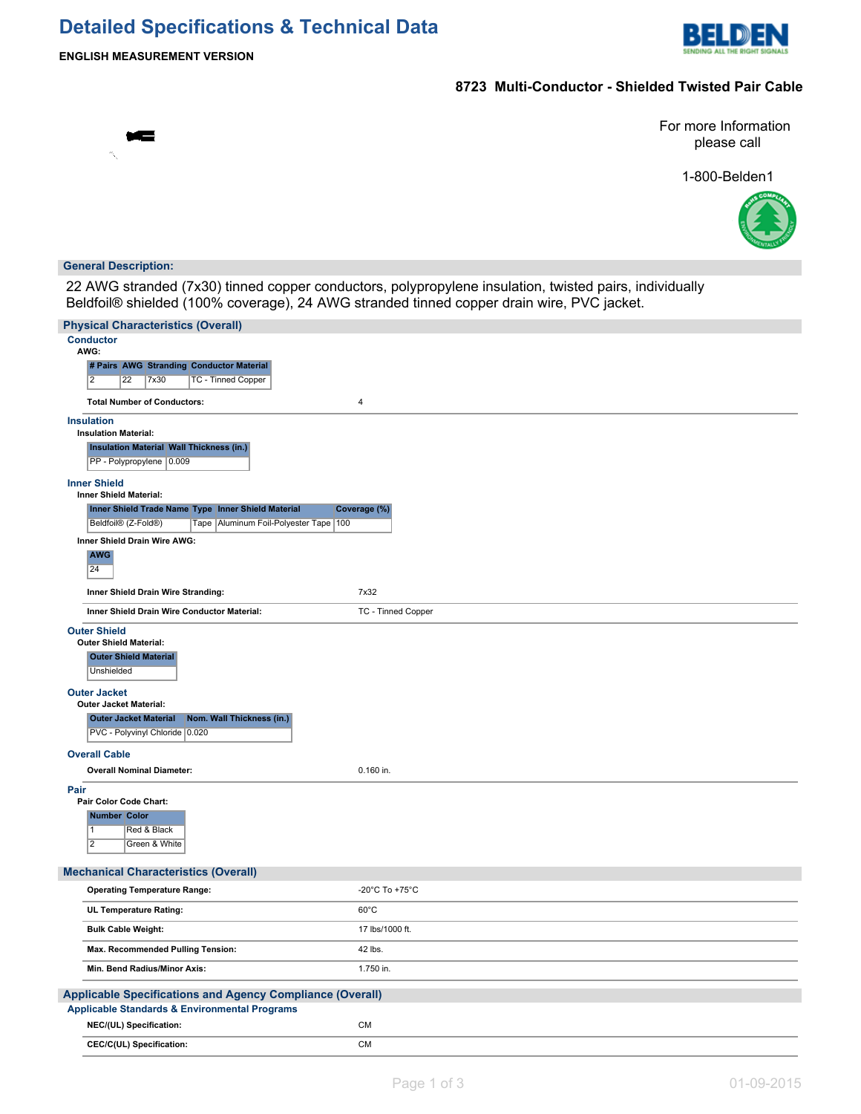# **Detailed Specifications & Technical Data**



## **8723 Multi-Conductor - Shielded Twisted Pair Cable**

For more Information please call

1-800-Belden1



#### **General Description:**

22 AWG stranded (7x30) tinned copper conductors, polypropylene insulation, twisted pairs, individually Beldfoil® shielded (100% coverage), 24 AWG stranded tinned copper drain wire, PVC jacket.

| <b>Physical Characteristics (Overall)</b>                        |                    |  |  |  |
|------------------------------------------------------------------|--------------------|--|--|--|
| <b>Conductor</b><br>AWG:                                         |                    |  |  |  |
| # Pairs AWG Stranding Conductor Material                         |                    |  |  |  |
| $\overline{2}$<br><b>TC - Tinned Copper</b><br>7x30<br>22        |                    |  |  |  |
|                                                                  |                    |  |  |  |
| <b>Total Number of Conductors:</b>                               | 4                  |  |  |  |
| <b>Insulation</b><br><b>Insulation Material:</b>                 |                    |  |  |  |
| <b>Insulation Material Wall Thickness (in.)</b>                  |                    |  |  |  |
| PP - Polypropylene 0.009                                         |                    |  |  |  |
| <b>Inner Shield</b>                                              |                    |  |  |  |
| <b>Inner Shield Material:</b>                                    |                    |  |  |  |
| Inner Shield Trade Name Type Inner Shield Material               | Coverage (%)       |  |  |  |
| Beldfoil® (Z-Fold®)<br>Tape   Aluminum Foil-Polyester Tape   100 |                    |  |  |  |
| Inner Shield Drain Wire AWG:                                     |                    |  |  |  |
| <b>AWG</b>                                                       |                    |  |  |  |
| 24                                                               |                    |  |  |  |
| Inner Shield Drain Wire Stranding:                               | 7x32               |  |  |  |
| Inner Shield Drain Wire Conductor Material:                      | TC - Tinned Copper |  |  |  |
| <b>Outer Shield</b>                                              |                    |  |  |  |
| <b>Outer Shield Material:</b>                                    |                    |  |  |  |
| <b>Outer Shield Material</b><br><b>Unshielded</b>                |                    |  |  |  |
|                                                                  |                    |  |  |  |
| <b>Outer Jacket</b><br><b>Outer Jacket Material:</b>             |                    |  |  |  |
| <b>Outer Jacket Material</b><br>Nom. Wall Thickness (in.)        |                    |  |  |  |
| PVC - Polyvinyl Chloride 0.020                                   |                    |  |  |  |
| <b>Overall Cable</b>                                             |                    |  |  |  |
| <b>Overall Nominal Diameter:</b>                                 | 0.160 in.          |  |  |  |
| Pair                                                             |                    |  |  |  |
| Pair Color Code Chart:                                           |                    |  |  |  |
| Number Color                                                     |                    |  |  |  |
| Red & Black<br>1                                                 |                    |  |  |  |
| $\overline{2}$<br>Green & White                                  |                    |  |  |  |
| <b>Mechanical Characteristics (Overall)</b>                      |                    |  |  |  |
| <b>Operating Temperature Range:</b>                              | -20°C To +75°C     |  |  |  |
| UL Temperature Rating:                                           | $60^{\circ}$ C     |  |  |  |
| <b>Bulk Cable Weight:</b>                                        | 17 lbs/1000 ft.    |  |  |  |
|                                                                  | 42 lbs.            |  |  |  |
| Max. Recommended Pulling Tension:                                |                    |  |  |  |
| Min. Bend Radius/Minor Axis:                                     | 1.750 in.          |  |  |  |
| <b>Applicable Specifications and Agency Compliance (Overall)</b> |                    |  |  |  |
| <b>Applicable Standards &amp; Environmental Programs</b>         |                    |  |  |  |
| NEC/(UL) Specification:                                          | <b>CM</b>          |  |  |  |
| CEC/C(UL) Specification:                                         | <b>CM</b>          |  |  |  |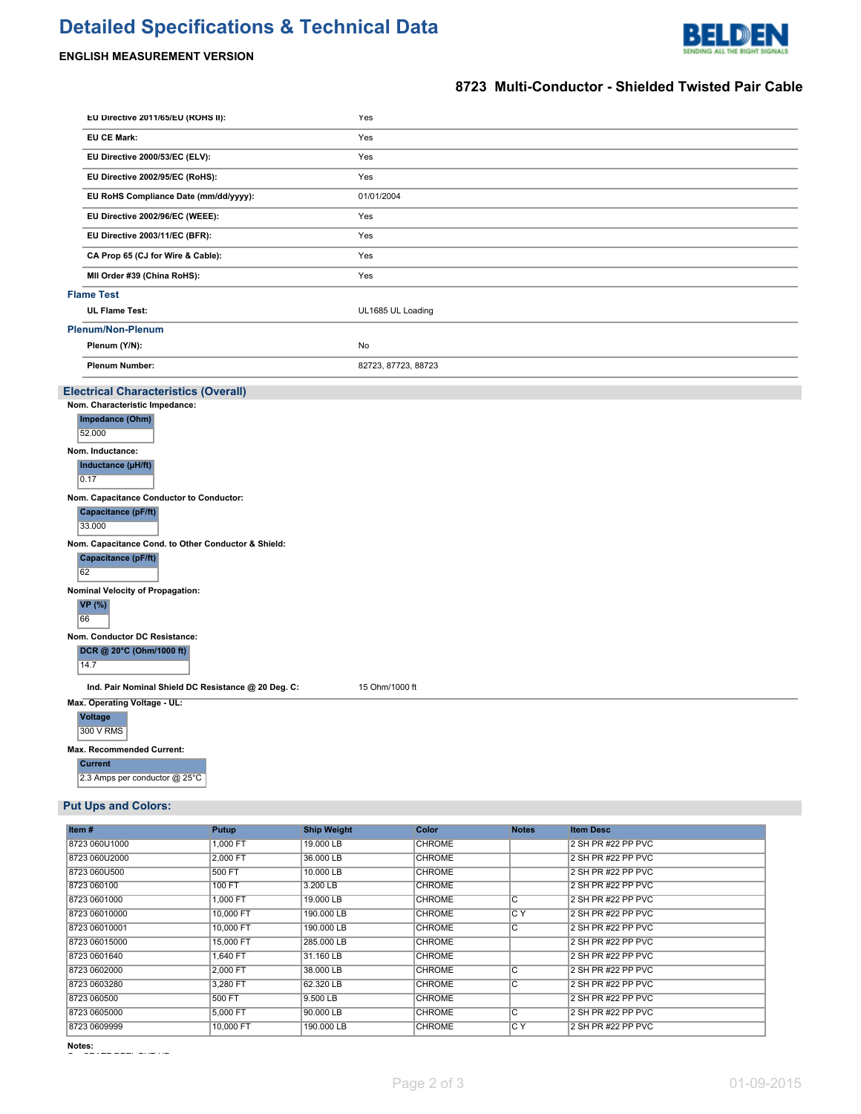# **Detailed Specifications & Technical Data**



## **ENGLISH MEASUREMENT VERSION**

## **8723 Multi-Conductor - Shielded Twisted Pair Cable**

| EU Directive 2011/65/EU (ROHS II):                  | Yes                 |
|-----------------------------------------------------|---------------------|
| <b>EU CE Mark:</b>                                  | Yes                 |
| EU Directive 2000/53/EC (ELV):                      | Yes                 |
| EU Directive 2002/95/EC (RoHS):                     | Yes                 |
| EU RoHS Compliance Date (mm/dd/yyyy):               | 01/01/2004          |
| EU Directive 2002/96/EC (WEEE):                     | Yes                 |
| EU Directive 2003/11/EC (BFR):                      | Yes                 |
| CA Prop 65 (CJ for Wire & Cable):                   | Yes                 |
| MII Order #39 (China RoHS):                         | Yes                 |
| <b>Flame Test</b>                                   |                     |
| <b>UL Flame Test:</b>                               | UL1685 UL Loading   |
| <b>Plenum/Non-Plenum</b>                            |                     |
| Plenum (Y/N):                                       | No                  |
| <b>Plenum Number:</b>                               | 82723, 87723, 88723 |
| <b>Electrical Characteristics (Overall)</b>         |                     |
| Nom. Characteristic Impedance:                      |                     |
| Impedance (Ohm)                                     |                     |
| 52.000                                              |                     |
| Nom. Inductance:                                    |                     |
| Inductance (µH/ft)<br>$\overline{0.17}$             |                     |
| Nom. Capacitance Conductor to Conductor:            |                     |
| Capacitance (pF/ft)<br>33.000                       |                     |
| Nom. Capacitance Cond. to Other Conductor & Shield: |                     |
| <b>Capacitance (pF/ft)</b><br>62                    |                     |
| Nominal Velocity of Propagation:                    |                     |
| <b>VP</b> (%)<br>66                                 |                     |
| Nom. Conductor DC Resistance:                       |                     |
| DCR @ 20°C (Ohm/1000 ft)<br>14.7                    |                     |
| Ind. Pair Nominal Shield DC Resistance @ 20 Deg. C: | 15 Ohm/1000 ft      |
| Max. Operating Voltage - UL:                        |                     |
| <b>Voltage</b><br><b>300 V RMS</b>                  |                     |
| Max. Recommended Current:<br><b>Current</b>         |                     |

2.3 Amps per conductor @ 25°C

#### **Put Ups and Colors:**

| Item #        | Putup     | <b>Ship Weight</b> | Color         | <b>Notes</b>            | <b>Item Desc</b>   |
|---------------|-----------|--------------------|---------------|-------------------------|--------------------|
| 8723 060U1000 | 1,000 FT  | 19,000 LB          | <b>CHROME</b> |                         | 2 SH PR #22 PP PVC |
| 8723 060U2000 | 2.000 FT  | 36,000 LB          | <b>CHROME</b> |                         | 2 SH PR #22 PP PVC |
| 8723 060U500  | 500 FT    | 10,000 LB          | <b>CHROME</b> |                         | 2 SH PR #22 PP PVC |
| 8723 060100   | 100 FT    | 3.200 LB           | <b>CHROME</b> |                         | 2 SH PR #22 PP PVC |
| 8723 0601000  | 1.000 FT  | 19,000 LB          | <b>CHROME</b> | С                       | 2 SH PR #22 PP PVC |
| 8723 06010000 | 10,000 FT | 190,000 LB         | <b>CHROME</b> | C Y                     | 2 SH PR #22 PP PVC |
| 8723 06010001 | 10,000 FT | 190,000 LB         | <b>CHROME</b> | C                       | 2 SH PR #22 PP PVC |
| 8723 06015000 | 15,000 FT | 285,000 LB         | <b>CHROME</b> |                         | 2 SH PR #22 PP PVC |
| 8723 0601640  | 1.640 FT  | 31.160 LB          | <b>CHROME</b> |                         | 2 SH PR #22 PP PVC |
| 8723 0602000  | 2.000 FT  | 38,000 LB          | <b>CHROME</b> | C                       | 2 SH PR #22 PP PVC |
| 8723 0603280  | 3,280 FT  | 62.320 LB          | <b>CHROME</b> | $\overline{\mathsf{C}}$ | 2 SH PR #22 PP PVC |
| 8723 060500   | 500 FT    | 9.500 LB           | <b>CHROME</b> |                         | 2 SH PR #22 PP PVC |
| 8723 0605000  | 5,000 FT  | 90,000 LB          | <b>CHROME</b> | $\overline{\mathsf{C}}$ | 2 SH PR #22 PP PVC |
| 8723 0609999  | 10.000 FT | 190,000 LB         | <b>CHROME</b> | C Y                     | 2 SH PR #22 PP PVC |

**Notes:**<br>
<del>C = CRATE REFL REEL PUT-UP</del>